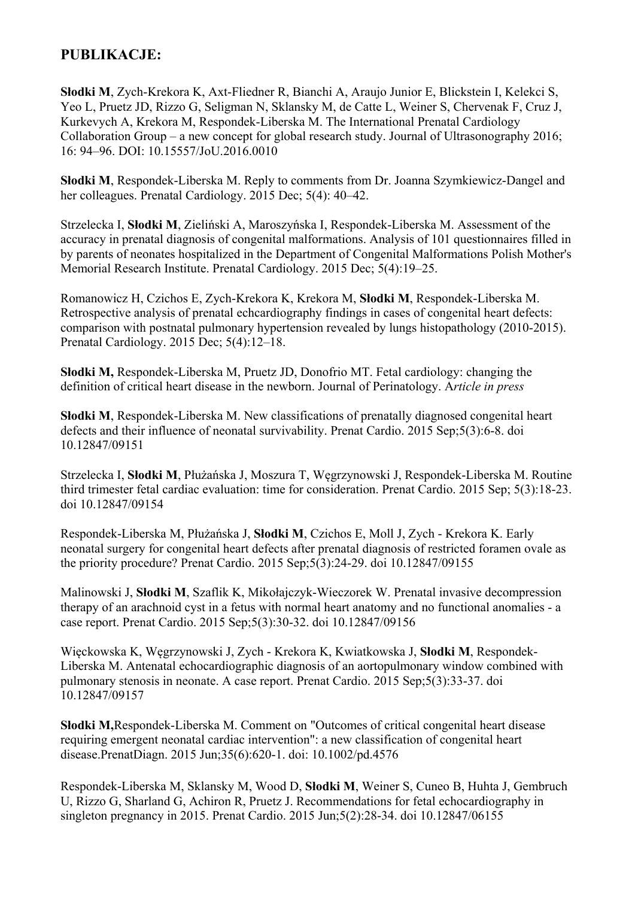## **PUBLIKACJE:**

**Słodki M**, Zych-Krekora K, Axt-Fliedner R, Bianchi A, Araujo Junior E, Blickstein I, Kelekci S, Yeo L, Pruetz JD, Rizzo G, Seligman N, Sklansky M, de Catte L, Weiner S, Chervenak F, Cruz J, Kurkevych A, Krekora M, Respondek-Liberska M. The International Prenatal Cardiology Collaboration Group – a new concept for global research study. Journal of Ultrasonography 2016; 16: 94–96. DOI: 10.15557/JoU.2016.0010

**Słodki M**, Respondek-Liberska M. Reply to comments from Dr. Joanna Szymkiewicz-Dangel and her colleagues. Prenatal Cardiology. 2015 Dec; 5(4): 40–42.

Strzelecka I, **Słodki M**, Zieliński A, Maroszyńska I, Respondek-Liberska M. Assessment of the accuracy in prenatal diagnosis of congenital malformations. Analysis of 101 questionnaires filled in by parents of neonates hospitalized in the Department of Congenital Malformations Polish Mother's Memorial Research Institute. Prenatal Cardiology. 2015 Dec; 5(4):19–25.

Romanowicz H, Czichos E, Zych-Krekora K, Krekora M, **Słodki M**, Respondek-Liberska M. Retrospective analysis of prenatal echcardiography findings in cases of congenital heart defects: comparison with postnatal pulmonary hypertension revealed by lungs histopathology (2010-2015). Prenatal Cardiology. 2015 Dec; 5(4):12–18.

**Słodki M,** Respondek-Liberska M, Pruetz JD, Donofrio MT. Fetal cardiology: changing the definition of critical heart disease in the newborn. Journal of Perinatology. A*rticle in press*

**Słodki M**, Respondek-Liberska M. New classifications of prenatally diagnosed congenital heart defects and their influence of neonatal survivability. Prenat Cardio. 2015 Sep;5(3):6-8. doi 10.12847/09151

Strzelecka I, **Słodki M**, Płużańska J, Moszura T, Węgrzynowski J, Respondek-Liberska M. Routine third trimester fetal cardiac evaluation: time for consideration. Prenat Cardio. 2015 Sep; 5(3):18-23. doi 10.12847/09154

Respondek-Liberska M, Płużańska J, **Słodki M**, Czichos E, Moll J, Zych - Krekora K. Early neonatal surgery for congenital heart defects after prenatal diagnosis of restricted foramen ovale as the priority procedure? Prenat Cardio. 2015 Sep;5(3):24-29. doi 10.12847/09155

Malinowski J, **Słodki M**, Szaflik K, Mikołajczyk-Wieczorek W. Prenatal invasive decompression therapy of an arachnoid cyst in a fetus with normal heart anatomy and no functional anomalies - a case report. Prenat Cardio. 2015 Sep;5(3):30-32. doi 10.12847/09156

Więckowska K, Węgrzynowski J, Zych - Krekora K, Kwiatkowska J, **Słodki M**, Respondek-Liberska M. Antenatal echocardiographic diagnosis of an aortopulmonary window combined with pulmonary stenosis in neonate. A case report. Prenat Cardio. 2015 Sep;5(3):33-37. doi 10.12847/09157

**Słodki M,**Respondek-Liberska M. Comment on "Outcomes of critical congenital heart disease requiring emergent neonatal cardiac intervention": a new classification of congenital heart disease.PrenatDiagn. 2015 Jun;35(6):620-1. doi: 10.1002/pd.4576

Respondek-Liberska M, Sklansky M, Wood D, **Słodki M**, Weiner S, Cuneo B, Huhta J, Gembruch U, Rizzo G, Sharland G, Achiron R, Pruetz J. Recommendations for fetal echocardiography in singleton pregnancy in 2015. Prenat Cardio. 2015 Jun;5(2):28-34. doi 10.12847/06155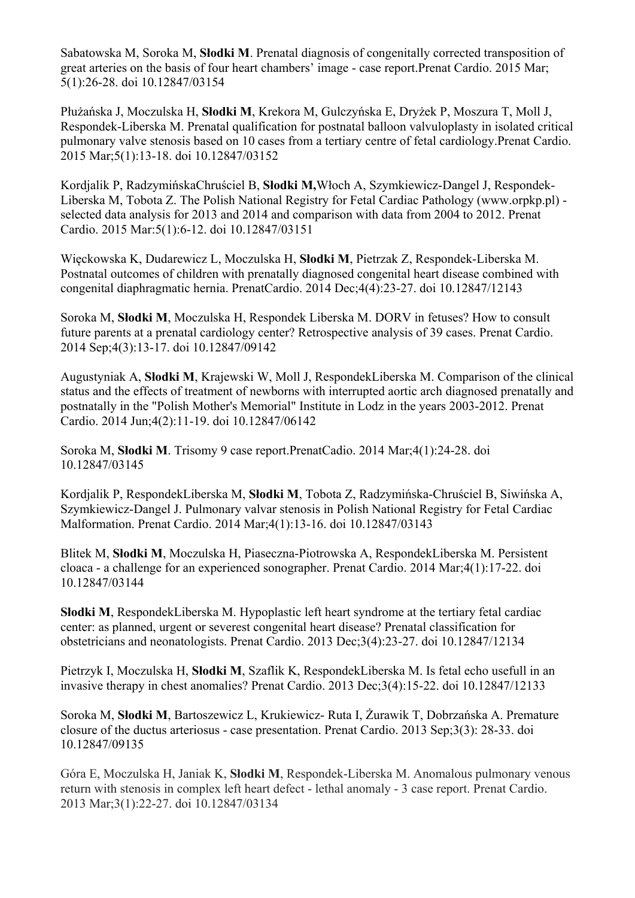Sabatowska M, Soroka M, **Słodki M**. Prenatal diagnosis of congenitally corrected transposition of great arteries on the basis of four heart chambers' image - case report.Prenat Cardio. 2015 Mar; 5(1):26-28. doi 10.12847/03154

Płużańska J, Moczulska H, **Słodki M**, Krekora M, Gulczyńska E, Dryżek P, Moszura T, Moll J, Respondek-Liberska M. Prenatal qualification for postnatal balloon valvuloplasty in isolated critical pulmonary valve stenosis based on 10 cases from a tertiary centre of fetal cardiology.Prenat Cardio. 2015 Mar;5(1):13-18. doi 10.12847/03152

Kordjalik P, RadzymińskaChruściel B, **Słodki M,**Włoch A, Szymkiewicz-Dangel J, Respondek-Liberska M, Tobota Z. The Polish National Registry for Fetal Cardiac Pathology (www.orpkp.pl) selected data analysis for 2013 and 2014 and comparison with data from 2004 to 2012. Prenat Cardio. 2015 Mar:5(1):6-12. doi 10.12847/03151

Więckowska K, Dudarewicz L, Moczulska H, **Słodki M**, Pietrzak Z, Respondek-Liberska M. Postnatal outcomes of children with prenatally diagnosed congenital heart disease combined with congenital diaphragmatic hernia. PrenatCardio. 2014 Dec;4(4):23-27. doi 10.12847/12143

Soroka M, **Słodki M**, Moczulska H, Respondek Liberska M. DORV in fetuses? How to consult future parents at a prenatal cardiology center? Retrospective analysis of 39 cases. Prenat Cardio. 2014 Sep;4(3):13-17. doi 10.12847/09142

Augustyniak A, **Słodki M**, Krajewski W, Moll J, RespondekLiberska M. Comparison of the clinical status and the effects of treatment of newborns with interrupted aortic arch diagnosed prenatally and postnatally in the "Polish Mother's Memorial" Institute in Lodz in the years 2003-2012. Prenat Cardio. 2014 Jun;4(2):11-19. doi 10.12847/06142

Soroka M, **Słodki M**. Trisomy 9 case report.PrenatCadio. 2014 Mar;4(1):24-28. doi 10.12847/03145

Kordjalik P, RespondekLiberska M, **Słodki M**, Tobota Z, Radzymińska-Chruściel B, Siwińska A, Szymkiewicz-Dangel J. Pulmonary valvar stenosis in Polish National Registry for Fetal Cardiac Malformation. Prenat Cardio. 2014 Mar;4(1):13-16. doi 10.12847/03143

Blitek M, **Słodki M**, Moczulska H, Piaseczna-Piotrowska A, RespondekLiberska M. Persistent cloaca - a challenge for an experienced sonographer. Prenat Cardio. 2014 Mar;4(1):17-22. doi 10.12847/03144

**Słodki M**, RespondekLiberska M. Hypoplastic left heart syndrome at the tertiary fetal cardiac center: as planned, urgent or severest congenital heart disease? Prenatal classification for obstetricians and neonatologists. Prenat Cardio. 2013 Dec;3(4):23-27. doi 10.12847/12134

Pietrzyk I, Moczulska H, **Słodki M**, Szaflik K, RespondekLiberska M. Is fetal echo usefull in an invasive therapy in chest anomalies? Prenat Cardio. 2013 Dec;3(4):15-22. doi 10.12847/12133

Soroka M, **Słodki M**, Bartoszewicz L, Krukiewicz- Ruta I, Żurawik T, Dobrzańska A. Premature closure of the ductus arteriosus - case presentation. Prenat Cardio. 2013 Sep;3(3): 28-33. doi 10.12847/09135

Góra E, Moczulska H, Janiak K, **Słodki M**, Respondek-Liberska M. Anomalous pulmonary venous return with stenosis in complex left heart defect - lethal anomaly - 3 case report. Prenat Cardio. 2013 Mar;3(1):22-27. doi 10.12847/03134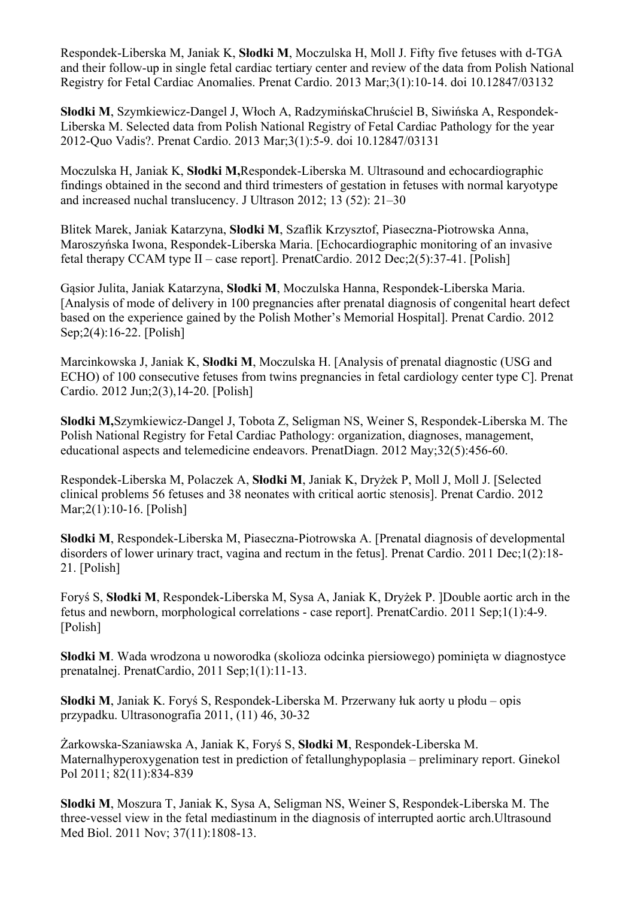Respondek-Liberska M, Janiak K, **Słodki M**, Moczulska H, Moll J. Fifty five fetuses with d-TGA and their follow-up in single fetal cardiac tertiary center and review of the data from Polish National Registry for Fetal Cardiac Anomalies. Prenat Cardio. 2013 Mar;3(1):10-14. doi 10.12847/03132

**Słodki M**, Szymkiewicz-Dangel J, Włoch A, RadzymińskaChruściel B, Siwińska A, Respondek-Liberska M. Selected data from Polish National Registry of Fetal Cardiac Pathology for the year 2012-Quo Vadis?. Prenat Cardio. 2013 Mar;3(1):5-9. doi 10.12847/03131

Moczulska H, Janiak K, **Słodki M,**Respondek-Liberska M. Ultrasound and echocardiographic findings obtained in the second and third trimesters of gestation in fetuses with normal karyotype and increased nuchal translucency. J Ultrason 2012; 13 (52): 21–30

Blitek Marek, Janiak Katarzyna, **Słodki M**, Szaflik Krzysztof, Piaseczna-Piotrowska Anna, Maroszyńska Iwona, Respondek-Liberska Maria. [Echocardiographic monitoring of an invasive fetal therapy CCAM type II – case report]. PrenatCardio. 2012 Dec;2(5):37-41. [Polish]

Gąsior Julita, Janiak Katarzyna, **Słodki M**, Moczulska Hanna, Respondek-Liberska Maria. [Analysis of mode of delivery in 100 pregnancies after prenatal diagnosis of congenital heart defect based on the experience gained by the Polish Mother's Memorial Hospital]. Prenat Cardio. 2012 Sep;2(4):16-22. [Polish]

Marcinkowska J, Janiak K, **Słodki M**, Moczulska H. [Analysis of prenatal diagnostic (USG and ECHO) of 100 consecutive fetuses from twins pregnancies in fetal cardiology center type C]. Prenat Cardio. 2012 Jun;2(3),14-20. [Polish]

**Slodki M,**Szymkiewicz-Dangel J, Tobota Z, Seligman NS, Weiner S, Respondek-Liberska M. The Polish National Registry for Fetal Cardiac Pathology: organization, diagnoses, management, educational aspects and telemedicine endeavors. PrenatDiagn. 2012 May;32(5):456-60.

Respondek-Liberska M, Polaczek A, **Słodki M**, Janiak K, Dryżek P, Moll J, Moll J. [Selected clinical problems 56 fetuses and 38 neonates with critical aortic stenosis]. Prenat Cardio. 2012 Mar;2(1):10-16. [Polish]

**Słodki M**, Respondek-Liberska M, Piaseczna-Piotrowska A. [Prenatal diagnosis of developmental disorders of lower urinary tract, vagina and rectum in the fetus]. Prenat Cardio. 2011 Dec;1(2):18- 21. [Polish]

Foryś S, **Słodki M**, Respondek-Liberska M, Sysa A, Janiak K, Dryżek P. ]Double aortic arch in the fetus and newborn, morphological correlations - case report]. PrenatCardio. 2011 Sep;1(1):4-9. [Polish]

**Słodki M**. Wada wrodzona u noworodka (skolioza odcinka piersiowego) pominięta w diagnostyce prenatalnej. PrenatCardio, 2011 Sep;1(1):11-13.

**Słodki M**, Janiak K. Foryś S, Respondek-Liberska M. Przerwany łuk aorty u płodu – opis przypadku. Ultrasonografia 2011, (11) 46, 30-32

Żarkowska-Szaniawska A, Janiak K, Foryś S, **Słodki M**, Respondek-Liberska M. Maternalhyperoxygenation test in prediction of fetallunghypoplasia – preliminary report. Ginekol Pol 2011; 82(11):834-839

**Slodki M**, Moszura T, Janiak K, Sysa A, Seligman NS, Weiner S, Respondek-Liberska M. The three-vessel view in the fetal mediastinum in the diagnosis of interrupted aortic arch.Ultrasound Med Biol. 2011 Nov; 37(11):1808-13.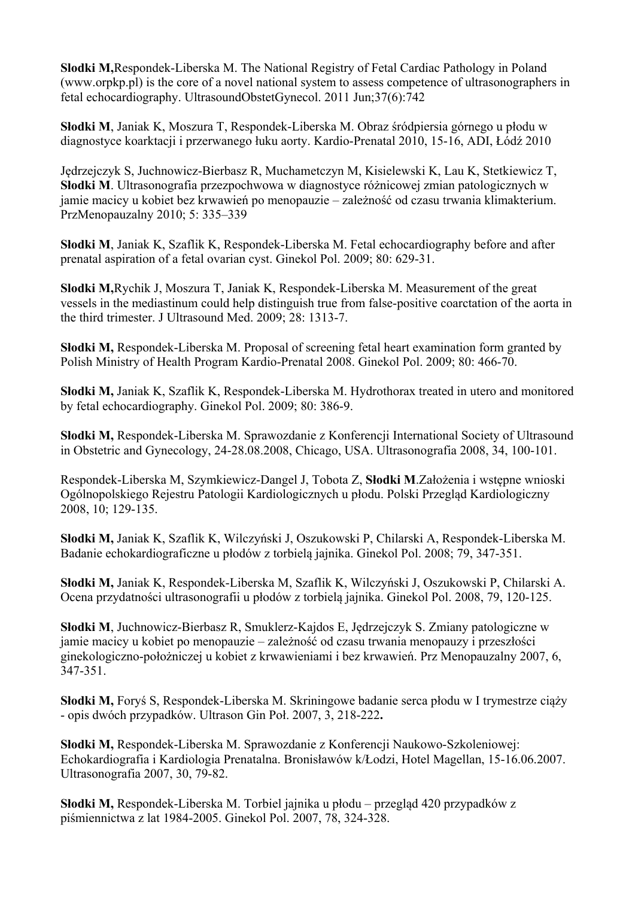**Slodki M,**Respondek-Liberska M. The National Registry of Fetal Cardiac Pathology in Poland (www.orpkp.pl) is the core of a novel national system to assess competence of ultrasonographers in fetal echocardiography. UltrasoundObstetGynecol. 2011 Jun;37(6):742

**Słodki M**, Janiak K, Moszura T, Respondek-Liberska M. Obraz śródpiersia górnego u płodu w diagnostyce koarktacji i przerwanego łuku aorty. Kardio-Prenatal 2010, 15-16, ADI, Łódź 2010

Jędrzejczyk S, Juchnowicz-Bierbasz R, Muchametczyn M, Kisielewski K, Lau K, Stetkiewicz T, **Słodki M**. Ultrasonografia przezpochwowa w diagnostyce różnicowej zmian patologicznych w jamie macicy u kobiet bez krwawień po menopauzie – zależność od czasu trwania klimakterium. PrzMenopauzalny 2010; 5: 335–339

**Słodki M**, Janiak K, Szaflik K, Respondek-Liberska M. Fetal echocardiography before and after prenatal aspiration of a fetal ovarian cyst. Ginekol Pol. 2009; 80: 629-31.

**Slodki M,**Rychik J, Moszura T, Janiak K, Respondek-Liberska M. Measurement of the great vessels in the mediastinum could help distinguish true from false-positive coarctation of the aorta in the third trimester. J Ultrasound Med. 2009; 28: 1313-7.

**Słodki M,** Respondek-Liberska M. Proposal of screening fetal heart examination form granted by Polish Ministry of Health Program Kardio-Prenatal 2008. Ginekol Pol. 2009; 80: 466-70.

**Słodki M,** Janiak K, Szaflik K, Respondek-Liberska M. Hydrothorax treated in utero and monitored by fetal echocardiography. Ginekol Pol. 2009; 80: 386-9.

**Słodki M,** Respondek-Liberska M. Sprawozdanie z Konferencji International Society of Ultrasound in Obstetric and Gynecology, 24-28.08.2008, Chicago, USA. Ultrasonografia 2008, 34, 100-101.

Respondek-Liberska M, Szymkiewicz-Dangel J, Tobota Z, **Słodki M**.Założenia i wstępne wnioski Ogólnopolskiego Rejestru Patologii Kardiologicznych u płodu. Polski Przegląd Kardiologiczny 2008, 10; 129-135.

**Słodki M,** Janiak K, Szaflik K, Wilczyński J, Oszukowski P, Chilarski A, Respondek-Liberska M. Badanie echokardiograficzne u płodów z torbielą jajnika. Ginekol Pol. 2008; 79, 347-351.

**Słodki M,** Janiak K, Respondek-Liberska M, Szaflik K, Wilczyński J, Oszukowski P, Chilarski A. Ocena przydatności ultrasonografii u płodów z torbielą jajnika. Ginekol Pol. 2008, 79, 120-125.

**Słodki M**, Juchnowicz-Bierbasz R, Smuklerz-Kajdos E, Jędrzejczyk S. Zmiany patologiczne w jamie macicy u kobiet po menopauzie – zależność od czasu trwania menopauzy i przeszłości ginekologiczno-położniczej u kobiet z krwawieniami i bez krwawień. Prz Menopauzalny 2007, 6, 347-351.

**Słodki M,** Foryś S, Respondek-Liberska M. Skriningowe badanie serca płodu w I trymestrze ciąży - opis dwóch przypadków. Ultrason Gin Poł. 2007, 3, 218-222**.** 

**Słodki M,** Respondek-Liberska M. Sprawozdanie z Konferencji Naukowo-Szkoleniowej: Echokardiografia i Kardiologia Prenatalna. Bronisławów k/Łodzi, Hotel Magellan, 15-16.06.2007. Ultrasonografia 2007, 30, 79-82.

**Słodki M,** Respondek-Liberska M. Torbiel jajnika u płodu – przegląd 420 przypadków z piśmiennictwa z lat 1984-2005. Ginekol Pol. 2007, 78, 324-328.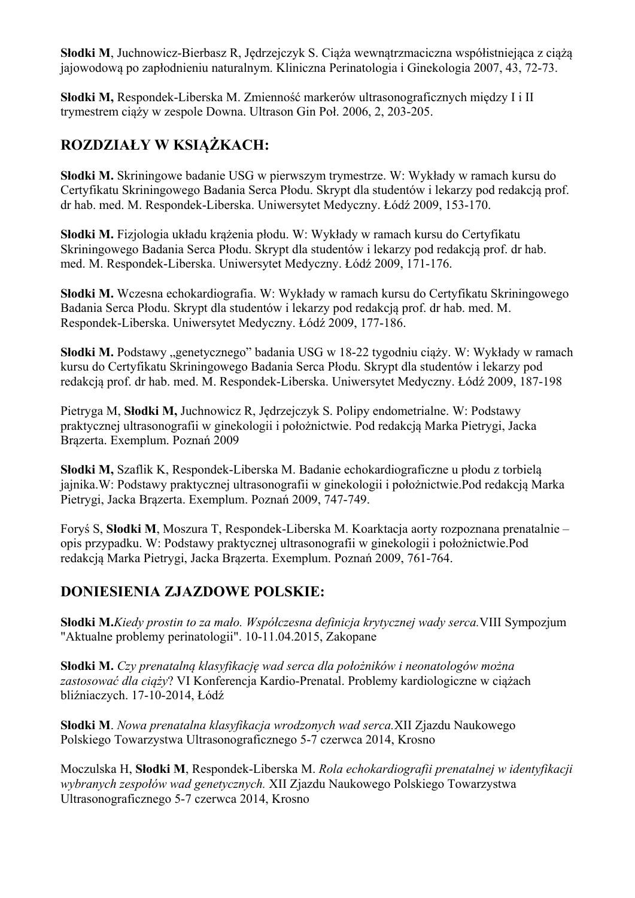**Słodki M**, Juchnowicz-Bierbasz R, Jędrzejczyk S. Ciąża wewnątrzmaciczna współistniejąca z ciążą jajowodową po zapłodnieniu naturalnym. Kliniczna Perinatologia i Ginekologia 2007, 43, 72-73.

**Słodki M,** Respondek-Liberska M. Zmienność markerów ultrasonograficznych między I i II trymestrem ciąży w zespole Downa. Ultrason Gin Poł. 2006, 2, 203-205.

## **ROZDZIAŁY W KSIĄŻKACH:**

**Słodki M.** Skriningowe badanie USG w pierwszym trymestrze. W: Wykłady w ramach kursu do Certyfikatu Skriningowego Badania Serca Płodu. Skrypt dla studentów i lekarzy pod redakcją prof. dr hab. med. M. Respondek-Liberska. Uniwersytet Medyczny. Łódź 2009, 153-170.

**Słodki M.** Fizjologia układu krążenia płodu. W: Wykłady w ramach kursu do Certyfikatu Skriningowego Badania Serca Płodu. Skrypt dla studentów i lekarzy pod redakcją prof. dr hab. med. M. Respondek-Liberska. Uniwersytet Medyczny. Łódź 2009, 171-176.

**Słodki M.** Wczesna echokardiografia. W: Wykłady w ramach kursu do Certyfikatu Skriningowego Badania Serca Płodu. Skrypt dla studentów i lekarzy pod redakcją prof. dr hab. med. M. Respondek-Liberska. Uniwersytet Medyczny. Łódź 2009, 177-186.

Słodki M. Podstawy "genetycznego" badania USG w 18-22 tygodniu ciąży. W: Wykłady w ramach kursu do Certyfikatu Skriningowego Badania Serca Płodu. Skrypt dla studentów i lekarzy pod redakcją prof. dr hab. med. M. Respondek-Liberska. Uniwersytet Medyczny. Łódź 2009, 187-198

Pietryga M, **Słodki M,** Juchnowicz R, Jędrzejczyk S. Polipy endometrialne. W: Podstawy praktycznej ultrasonografii w ginekologii i położnictwie. Pod redakcją Marka Pietrygi, Jacka Brązerta. Exemplum. Poznań 2009

**Słodki M,** Szaflik K, Respondek-Liberska M. Badanie echokardiograficzne u płodu z torbielą jajnika.W: Podstawy praktycznej ultrasonografii w ginekologii i położnictwie.Pod redakcją Marka Pietrygi, Jacka Brązerta. Exemplum. Poznań 2009, 747-749.

Foryś S, **Słodki M**, Moszura T, Respondek-Liberska M. Koarktacja aorty rozpoznana prenatalnie – opis przypadku. W: Podstawy praktycznej ultrasonografii w ginekologii i położnictwie.Pod redakcją Marka Pietrygi, Jacka Brązerta. Exemplum. Poznań 2009, 761-764.

## **DONIESIENIA ZJAZDOWE POLSKIE:**

**Słodki M.***Kiedy prostin to za mało. Współczesna definicja krytycznej wady serca.*VIII Sympozjum "Aktualne problemy perinatologii". 10-11.04.2015, Zakopane

**Słodki M.** *Czy prenatalną klasyfikację wad serca dla położników i neonatologów można zastosować dla ciąży*? VI Konferencja Kardio-Prenatal. Problemy kardiologiczne w ciążach bliźniaczych. 17-10-2014, Łódź

**Słodki M**. *Nowa prenatalna klasyfikacja wrodzonych wad serca.*XII Zjazdu Naukowego Polskiego Towarzystwa Ultrasonograficznego 5-7 czerwca 2014, Krosno

Moczulska H, **Słodki M**, Respondek-Liberska M. *Rola echokardiografii prenatalnej w identyfikacji wybranych zespołów wad genetycznych.* XII Zjazdu Naukowego Polskiego Towarzystwa Ultrasonograficznego 5-7 czerwca 2014, Krosno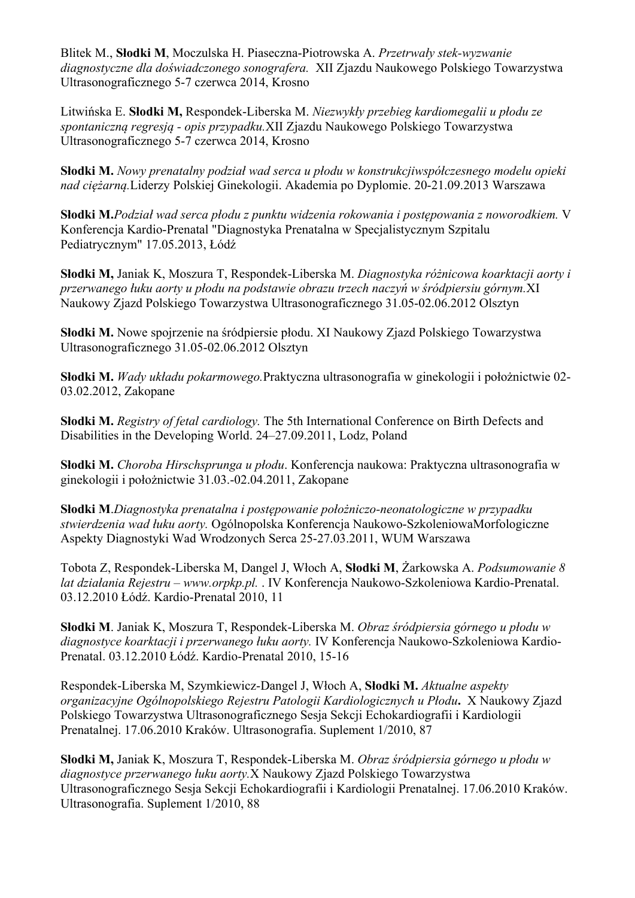Blitek M., **Słodki M**, Moczulska H. Piaseczna-Piotrowska A. *Przetrwały stek-wyzwanie diagnostyczne dla doświadczonego sonografera.* XII Zjazdu Naukowego Polskiego Towarzystwa Ultrasonograficznego 5-7 czerwca 2014, Krosno

Litwińska E. **Słodki M,** Respondek-Liberska M. *Niezwykły przebieg kardiomegalii u płodu ze spontaniczną regresją - opis przypadku.*XII Zjazdu Naukowego Polskiego Towarzystwa Ultrasonograficznego 5-7 czerwca 2014, Krosno

**Słodki M.** *Nowy prenatalny podział wad serca u płodu w konstrukcjiwspółczesnego modelu opieki nad ciężarną.*Liderzy Polskiej Ginekologii. Akademia po Dyplomie. 20-21.09.2013 Warszawa

**Słodki M.***Podział wad serca płodu z punktu widzenia rokowania i postępowania z noworodkiem.* V Konferencja Kardio-Prenatal "Diagnostyka Prenatalna w Specjalistycznym Szpitalu Pediatrycznym" 17.05.2013, Łódź

**Słodki M,** Janiak K, Moszura T, Respondek-Liberska M. *Diagnostyka różnicowa koarktacji aorty i przerwanego łuku aorty u płodu na podstawie obrazu trzech naczyń w śródpiersiu górnym.*XI Naukowy Zjazd Polskiego Towarzystwa Ultrasonograficznego 31.05-02.06.2012 Olsztyn

**Słodki M.** Nowe spojrzenie na śródpiersie płodu. XI Naukowy Zjazd Polskiego Towarzystwa Ultrasonograficznego 31.05-02.06.2012 Olsztyn

**Słodki M.** *Wady układu pokarmowego.*Praktyczna ultrasonografia w ginekologii i położnictwie 02- 03.02.2012, Zakopane

**Słodki M.** *Registry of fetal cardiology.* The 5th International Conference on Birth Defects and Disabilities in the Developing World. 24–27.09.2011, Lodz, Poland

**Słodki M.** *Choroba Hirschsprunga u płodu*. Konferencja naukowa: Praktyczna ultrasonografia w ginekologii i położnictwie 31.03.-02.04.2011, Zakopane

**Słodki M**.*Diagnostyka prenatalna i postępowanie położniczo-neonatologiczne w przypadku stwierdzenia wad łuku aorty.* Ogólnopolska Konferencja Naukowo-SzkoleniowaMorfologiczne Aspekty Diagnostyki Wad Wrodzonych Serca 25-27.03.2011, WUM Warszawa

Tobota Z, Respondek-Liberska M, Dangel J, Włoch A, **Słodki M**, Żarkowska A. *Podsumowanie 8 lat działania Rejestru – www.orpkp.pl.* . IV Konferencja Naukowo-Szkoleniowa Kardio-Prenatal. 03.12.2010 Łódź. Kardio-Prenatal 2010, 11

**Słodki M**. Janiak K, Moszura T, Respondek-Liberska M. *Obraz śródpiersia górnego u płodu w diagnostyce koarktacji i przerwanego łuku aorty.* IV Konferencja Naukowo-Szkoleniowa Kardio-Prenatal. 03.12.2010 Łódź. Kardio-Prenatal 2010, 15-16

Respondek-Liberska M, Szymkiewicz-Dangel J, Włoch A, **Słodki M.** *Aktualne aspekty organizacyjne Ogólnopolskiego Rejestru Patologii Kardiologicznych u Płodu***.** X Naukowy Zjazd Polskiego Towarzystwa Ultrasonograficznego Sesja Sekcji Echokardiografii i Kardiologii Prenatalnej. 17.06.2010 Kraków. Ultrasonografia. Suplement 1/2010, 87

**Słodki M,** Janiak K, Moszura T, Respondek-Liberska M. *Obraz śródpiersia górnego u płodu w diagnostyce przerwanego łuku aorty.*X Naukowy Zjazd Polskiego Towarzystwa Ultrasonograficznego Sesja Sekcji Echokardiografii i Kardiologii Prenatalnej. 17.06.2010 Kraków. Ultrasonografia. Suplement 1/2010, 88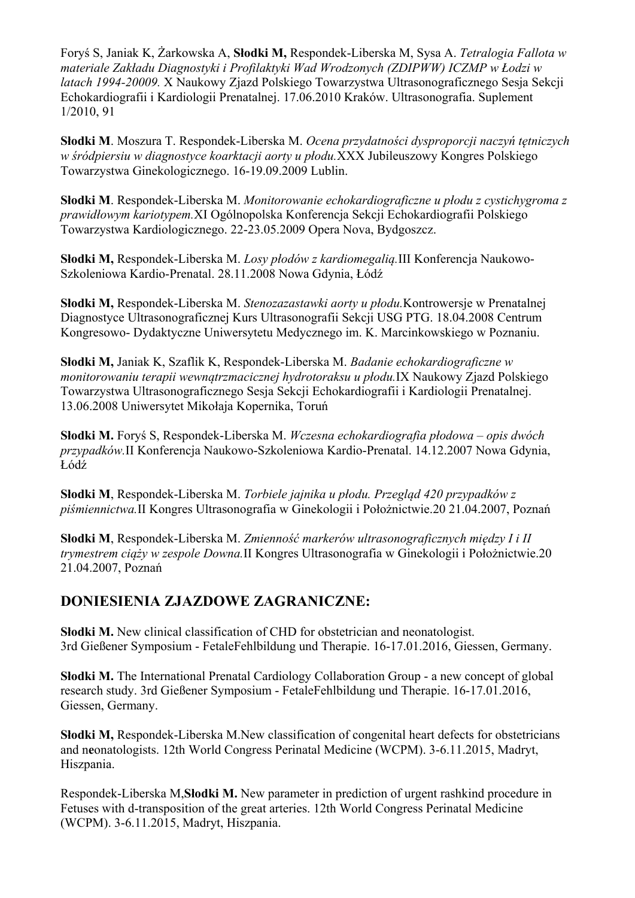Foryś S, Janiak K, Żarkowska A, **Słodki M,** Respondek-Liberska M, Sysa A. *Tetralogia Fallota w materiale Zakładu Diagnostyki i Profilaktyki Wad Wrodzonych (ZDIPWW) ICZMP w Łodzi w latach 1994-20009.* X Naukowy Zjazd Polskiego Towarzystwa Ultrasonograficznego Sesja Sekcji Echokardiografii i Kardiologii Prenatalnej. 17.06.2010 Kraków. Ultrasonografia. Suplement 1/2010, 91

**Słodki M**. Moszura T. Respondek-Liberska M. *Ocena przydatności dysproporcji naczyń tętniczych w śródpiersiu w diagnostyce koarktacji aorty u płodu.*XXX Jubileuszowy Kongres Polskiego Towarzystwa Ginekologicznego. 16-19.09.2009 Lublin.

**Słodki M**. Respondek-Liberska M. *Monitorowanie echokardiograficzne u płodu z cystichygroma z prawidłowym kariotypem.*XI Ogólnopolska Konferencja Sekcji Echokardiografii Polskiego Towarzystwa Kardiologicznego. 22-23.05.2009 Opera Nova, Bydgoszcz.

**Słodki M,** Respondek-Liberska M. *Losy płodów z kardiomegalią.*III Konferencja Naukowo-Szkoleniowa Kardio-Prenatal. 28.11.2008 Nowa Gdynia, Łódź

**Słodki M,** Respondek-Liberska M. *Stenozazastawki aorty u płodu.*Kontrowersje w Prenatalnej Diagnostyce Ultrasonograficznej Kurs Ultrasonografii Sekcji USG PTG. 18.04.2008 Centrum Kongresowo- Dydaktyczne Uniwersytetu Medycznego im. K. Marcinkowskiego w Poznaniu.

**Słodki M,** Janiak K, Szaflik K, Respondek-Liberska M. *Badanie echokardiograficzne w monitorowaniu terapii wewnątrzmacicznej hydrotoraksu u płodu.*IX Naukowy Zjazd Polskiego Towarzystwa Ultrasonograficznego Sesja Sekcji Echokardiografii i Kardiologii Prenatalnej. 13.06.2008 Uniwersytet Mikołaja Kopernika, Toruń

**Słodki M.** Foryś S, Respondek-Liberska M. *Wczesna echokardiografia płodowa – opis dwóch przypadków.*II Konferencja Naukowo-Szkoleniowa Kardio-Prenatal. 14.12.2007 Nowa Gdynia, Łódź

**Słodki M**, Respondek-Liberska M. *Torbiele jajnika u płodu. Przegląd 420 przypadków z piśmiennictwa.*II Kongres Ultrasonografia w Ginekologii i Położnictwie.20 21.04.2007, Poznań

**Słodki M**, Respondek-Liberska M. *Zmienność markerów ultrasonograficznych między I i II trymestrem ciąży w zespole Downa.*II Kongres Ultrasonografia w Ginekologii i Położnictwie.20 21.04.2007, Poznań

## **DONIESIENIA ZJAZDOWE ZAGRANICZNE:**

**Słodki M.** New clinical classification of CHD for obstetrician and neonatologist. 3rd Gießener Symposium - FetaleFehlbildung und Therapie. 16-17.01.2016, Giessen, Germany.

**Słodki M.** The International Prenatal Cardiology Collaboration Group - a new concept of global research study. 3rd Gießener Symposium - FetaleFehlbildung und Therapie. 16-17.01.2016, Giessen, Germany.

**Słodki M,** Respondek-Liberska M.New classification of congenital heart defects for obstetricians and n**e**onatologists. 12th World Congress Perinatal Medicine (WCPM). 3-6.11.2015, Madryt, Hiszpania.

Respondek-Liberska M,**Słodki M.** New parameter in prediction of urgent rashkind procedure in Fetuses with d-transposition of the great arteries. 12th World Congress Perinatal Medicine (WCPM). 3-6.11.2015, Madryt, Hiszpania.